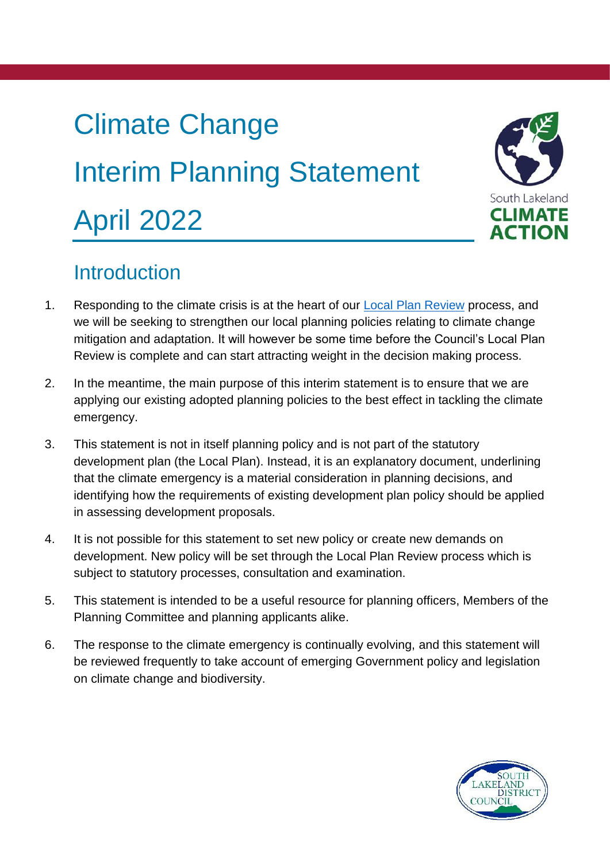# Climate Change Interim Planning Statement April 2022



## **Introduction**

- 1. Responding to the climate crisis is at the heart of our [Local Plan Review](https://www.southlakeland.gov.uk/planning-and-building/south-lakeland-local-plan/local-plan-review/) process, and we will be seeking to strengthen our local planning policies relating to climate change mitigation and adaptation. It will however be some time before the Council's Local Plan Review is complete and can start attracting weight in the decision making process.
- 2. In the meantime, the main purpose of this interim statement is to ensure that we are applying our existing adopted planning policies to the best effect in tackling the climate emergency.
- 3. This statement is not in itself planning policy and is not part of the statutory development plan (the Local Plan). Instead, it is an explanatory document, underlining that the climate emergency is a material consideration in planning decisions, and identifying how the requirements of existing development plan policy should be applied in assessing development proposals.
- 4. It is not possible for this statement to set new policy or create new demands on development. New policy will be set through the Local Plan Review process which is subject to statutory processes, consultation and examination.
- 5. This statement is intended to be a useful resource for planning officers, Members of the Planning Committee and planning applicants alike.
- 6. The response to the climate emergency is continually evolving, and this statement will be reviewed frequently to take account of emerging Government policy and legislation on climate change and biodiversity.

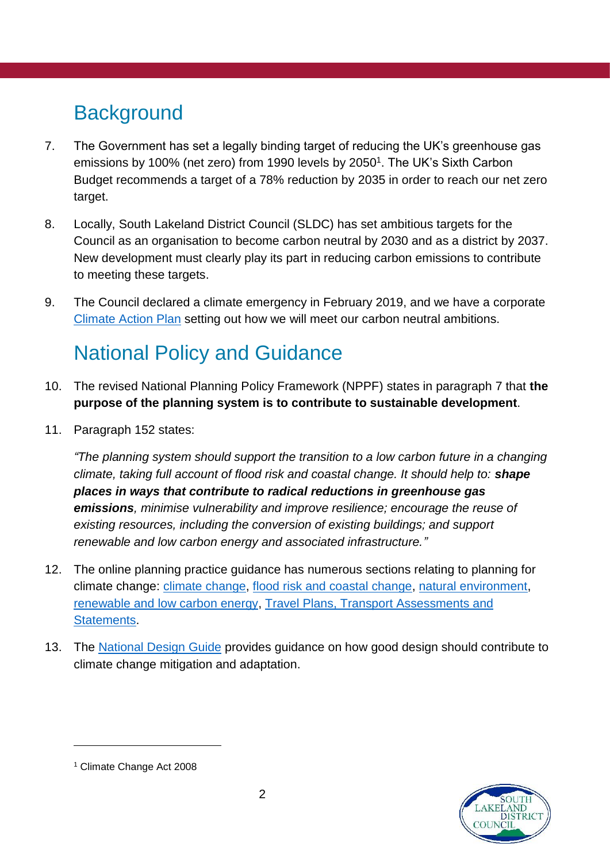# **Background**

- 7. The Government has set a legally binding target of reducing the UK's greenhouse gas emissions by 100% (net zero) from 1990 levels by 2050<sup>1</sup>. The UK's Sixth Carbon Budget recommends a target of a 78% reduction by 2035 in order to reach our net zero target.
- 8. Locally, South Lakeland District Council (SLDC) has set ambitious targets for the Council as an organisation to become carbon neutral by 2030 and as a district by 2037. New development must clearly play its part in reducing carbon emissions to contribute to meeting these targets.
- 9. The Council declared a climate emergency in February 2019, and we have a corporate [Climate Action Plan](https://www.southlakeland.gov.uk/media/7208/climate-change-action-plan-accessible.pdf) setting out how we will meet our carbon neutral ambitions.

# National Policy and Guidance

- 10. The revised National Planning Policy Framework (NPPF) states in paragraph 7 that **the purpose of the planning system is to contribute to sustainable development**.
- 11. Paragraph 152 states:

*"The planning system should support the transition to a low carbon future in a changing climate, taking full account of flood risk and coastal change. It should help to: shape places in ways that contribute to radical reductions in greenhouse gas emissions, minimise vulnerability and improve resilience; encourage the reuse of existing resources, including the conversion of existing buildings; and support renewable and low carbon energy and associated infrastructure."*

- 12. The online planning practice guidance has numerous sections relating to planning for climate change: [climate change,](https://www.gov.uk/guidance/climate-change) [flood risk and coastal change,](https://www.gov.uk/guidance/flood-risk-and-coastal-change) [natural environment,](https://www.gov.uk/guidance/natural-environment) [renewable and low carbon energy,](https://www.gov.uk/guidance/renewable-and-low-carbon-energy) [Travel Plans, Transport Assessments and](https://www.gov.uk/guidance/travel-plans-transport-assessments-and-statements)  [Statements.](https://www.gov.uk/guidance/travel-plans-transport-assessments-and-statements)
- 13. The [National Design Guide](https://assets.publishing.service.gov.uk/government/uploads/system/uploads/attachment_data/file/962113/National_design_guide.pdf) provides guidance on how good design should contribute to climate change mitigation and adaptation.



1

<sup>1</sup> Climate Change Act 2008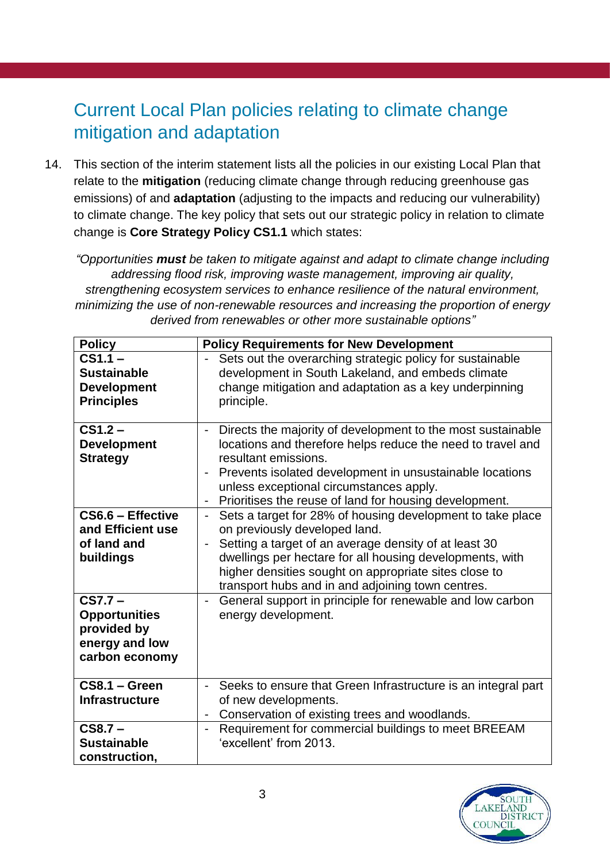#### Current Local Plan policies relating to climate change mitigation and adaptation

14. This section of the interim statement lists all the policies in our existing Local Plan that relate to the **mitigation** (reducing climate change through reducing greenhouse gas emissions) of and **adaptation** (adjusting to the impacts and reducing our vulnerability) to climate change. The key policy that sets out our strategic policy in relation to climate change is **Core Strategy Policy CS1.1** which states:

*"Opportunities must be taken to mitigate against and adapt to climate change including addressing flood risk, improving waste management, improving air quality, strengthening ecosystem services to enhance resilience of the natural environment, minimizing the use of non-renewable resources and increasing the proportion of energy derived from renewables or other more sustainable options"*

| <b>Policy</b>                                                                        | <b>Policy Requirements for New Development</b>                                                                                                                                                                                                                                                                                                                     |
|--------------------------------------------------------------------------------------|--------------------------------------------------------------------------------------------------------------------------------------------------------------------------------------------------------------------------------------------------------------------------------------------------------------------------------------------------------------------|
| $CS1.1 -$<br><b>Sustainable</b><br><b>Development</b><br><b>Principles</b>           | Sets out the overarching strategic policy for sustainable<br>$\overline{\phantom{a}}$<br>development in South Lakeland, and embeds climate<br>change mitigation and adaptation as a key underpinning<br>principle.                                                                                                                                                 |
| $CS1.2 -$<br><b>Development</b><br><b>Strategy</b>                                   | Directs the majority of development to the most sustainable<br>locations and therefore helps reduce the need to travel and<br>resultant emissions.<br>Prevents isolated development in unsustainable locations<br>unless exceptional circumstances apply.<br>Prioritises the reuse of land for housing development.                                                |
| CS6.6 - Effective<br>and Efficient use<br>of land and<br>buildings                   | Sets a target for 28% of housing development to take place<br>$\blacksquare$<br>on previously developed land.<br>Setting a target of an average density of at least 30<br>$\blacksquare$<br>dwellings per hectare for all housing developments, with<br>higher densities sought on appropriate sites close to<br>transport hubs and in and adjoining town centres. |
| $CS7.7 -$<br><b>Opportunities</b><br>provided by<br>energy and low<br>carbon economy | General support in principle for renewable and low carbon<br>$\overline{\phantom{a}}$<br>energy development.                                                                                                                                                                                                                                                       |
| $\overline{\text{CS8.1}}$ – Green<br><b>Infrastructure</b>                           | Seeks to ensure that Green Infrastructure is an integral part<br>of new developments.<br>Conservation of existing trees and woodlands.                                                                                                                                                                                                                             |
| $CS8.7 -$<br><b>Sustainable</b><br>construction,                                     | Requirement for commercial buildings to meet BREEAM<br>$\overline{\phantom{a}}$<br>'excellent' from 2013.                                                                                                                                                                                                                                                          |

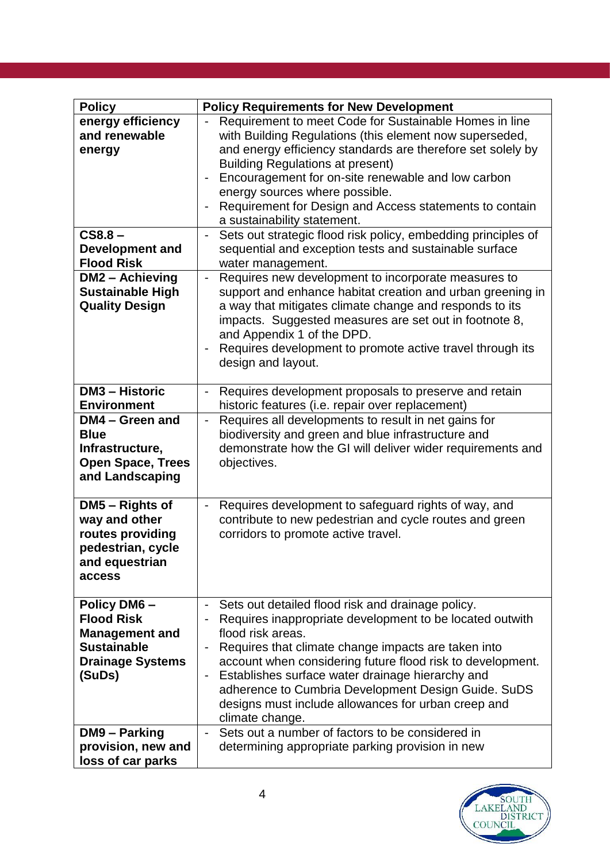| <b>Policy</b>            | <b>Policy Requirements for New Development</b>                                    |  |  |
|--------------------------|-----------------------------------------------------------------------------------|--|--|
| energy efficiency        | Requirement to meet Code for Sustainable Homes in line                            |  |  |
| and renewable            | with Building Regulations (this element now superseded,                           |  |  |
| energy                   | and energy efficiency standards are therefore set solely by                       |  |  |
|                          | <b>Building Regulations at present)</b>                                           |  |  |
|                          | Encouragement for on-site renewable and low carbon                                |  |  |
|                          | energy sources where possible.                                                    |  |  |
|                          | Requirement for Design and Access statements to contain                           |  |  |
|                          | a sustainability statement.                                                       |  |  |
| $CS8.8 -$                | Sets out strategic flood risk policy, embedding principles of<br>$\blacksquare$   |  |  |
| <b>Development and</b>   | sequential and exception tests and sustainable surface                            |  |  |
| <b>Flood Risk</b>        | water management.                                                                 |  |  |
| DM2 - Achieving          | Requires new development to incorporate measures to<br>$\blacksquare$             |  |  |
| <b>Sustainable High</b>  | support and enhance habitat creation and urban greening in                        |  |  |
| <b>Quality Design</b>    | a way that mitigates climate change and responds to its                           |  |  |
|                          | impacts. Suggested measures are set out in footnote 8,                            |  |  |
|                          | and Appendix 1 of the DPD.                                                        |  |  |
|                          | Requires development to promote active travel through its                         |  |  |
|                          | design and layout.                                                                |  |  |
|                          |                                                                                   |  |  |
| <b>DM3 - Historic</b>    | Requires development proposals to preserve and retain                             |  |  |
| <b>Environment</b>       | historic features (i.e. repair over replacement)                                  |  |  |
| DM4 - Green and          | Requires all developments to result in net gains for<br>$\overline{\phantom{a}}$  |  |  |
| <b>Blue</b>              | biodiversity and green and blue infrastructure and                                |  |  |
| Infrastructure,          | demonstrate how the GI will deliver wider requirements and                        |  |  |
| <b>Open Space, Trees</b> | objectives.                                                                       |  |  |
| and Landscaping          |                                                                                   |  |  |
|                          |                                                                                   |  |  |
| DM5 - Rights of          | Requires development to safeguard rights of way, and                              |  |  |
| way and other            | contribute to new pedestrian and cycle routes and green                           |  |  |
| routes providing         | corridors to promote active travel.                                               |  |  |
| pedestrian, cycle        |                                                                                   |  |  |
| and equestrian           |                                                                                   |  |  |
| access                   |                                                                                   |  |  |
|                          |                                                                                   |  |  |
| <b>Policy DM6-</b>       | Sets out detailed flood risk and drainage policy.<br>$\qquad \qquad \blacksquare$ |  |  |
| <b>Flood Risk</b>        | Requires inappropriate development to be located outwith                          |  |  |
| <b>Management and</b>    | flood risk areas.                                                                 |  |  |
| <b>Sustainable</b>       | Requires that climate change impacts are taken into                               |  |  |
| <b>Drainage Systems</b>  | account when considering future flood risk to development.                        |  |  |
| (SuDs)                   | Establishes surface water drainage hierarchy and<br>$\overline{\phantom{0}}$      |  |  |
|                          | adherence to Cumbria Development Design Guide. SuDS                               |  |  |
|                          | designs must include allowances for urban creep and                               |  |  |
|                          | climate change.                                                                   |  |  |
| DM9 - Parking            | Sets out a number of factors to be considered in                                  |  |  |
| provision, new and       | determining appropriate parking provision in new                                  |  |  |
| loss of car parks        |                                                                                   |  |  |

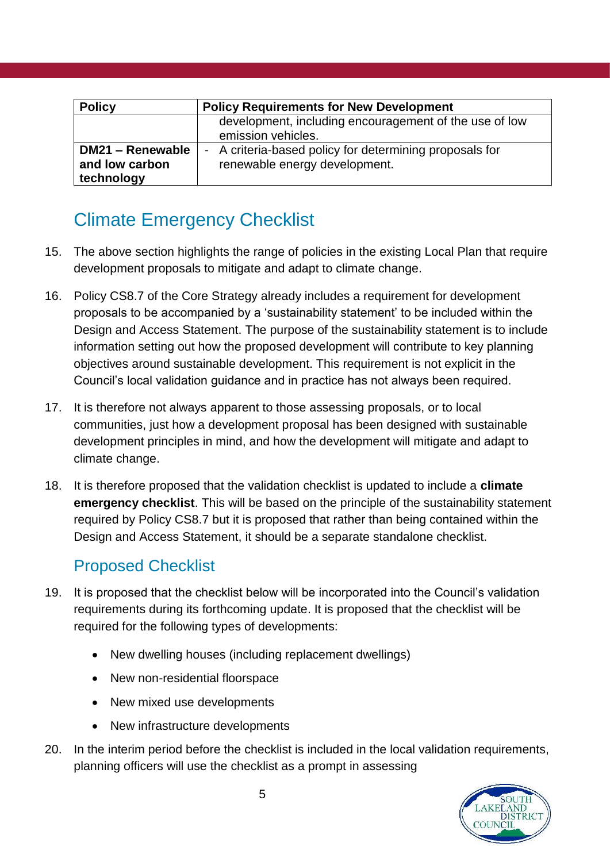| <b>Policy</b>    | <b>Policy Requirements for New Development</b>          |
|------------------|---------------------------------------------------------|
|                  | development, including encouragement of the use of low  |
|                  | emission vehicles.                                      |
| DM21 - Renewable | - A criteria-based policy for determining proposals for |
| and low carbon   | renewable energy development.                           |
| technology       |                                                         |

## Climate Emergency Checklist

- 15. The above section highlights the range of policies in the existing Local Plan that require development proposals to mitigate and adapt to climate change.
- 16. Policy CS8.7 of the Core Strategy already includes a requirement for development proposals to be accompanied by a 'sustainability statement' to be included within the Design and Access Statement. The purpose of the sustainability statement is to include information setting out how the proposed development will contribute to key planning objectives around sustainable development. This requirement is not explicit in the Council's local validation guidance and in practice has not always been required.
- 17. It is therefore not always apparent to those assessing proposals, or to local communities, just how a development proposal has been designed with sustainable development principles in mind, and how the development will mitigate and adapt to climate change.
- 18. It is therefore proposed that the validation checklist is updated to include a **climate emergency checklist**. This will be based on the principle of the sustainability statement required by Policy CS8.7 but it is proposed that rather than being contained within the Design and Access Statement, it should be a separate standalone checklist.

#### Proposed Checklist

- 19. It is proposed that the checklist below will be incorporated into the Council's validation requirements during its forthcoming update. It is proposed that the checklist will be required for the following types of developments:
	- New dwelling houses (including replacement dwellings)
	- New non-residential floorspace
	- New mixed use developments
	- New infrastructure developments
- 20. In the interim period before the checklist is included in the local validation requirements, planning officers will use the checklist as a prompt in assessing

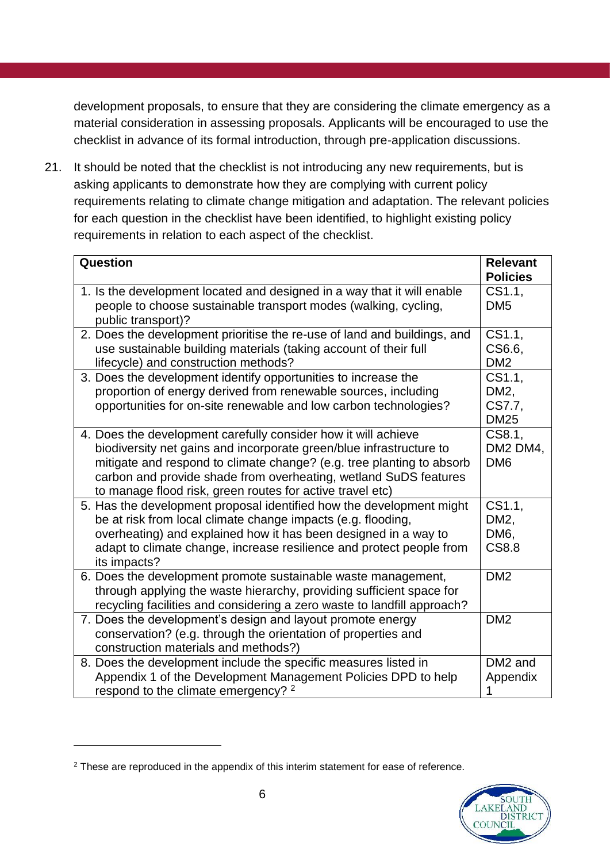development proposals, to ensure that they are considering the climate emergency as a material consideration in assessing proposals. Applicants will be encouraged to use the checklist in advance of its formal introduction, through pre-application discussions.

21. It should be noted that the checklist is not introducing any new requirements, but is asking applicants to demonstrate how they are complying with current policy requirements relating to climate change mitigation and adaptation. The relevant policies for each question in the checklist have been identified, to highlight existing policy requirements in relation to each aspect of the checklist.

| <b>Question</b>                                                                                                                                                                                                                                                                                                                                 | <b>Relevant</b><br><b>Policies</b>                  |
|-------------------------------------------------------------------------------------------------------------------------------------------------------------------------------------------------------------------------------------------------------------------------------------------------------------------------------------------------|-----------------------------------------------------|
| 1. Is the development located and designed in a way that it will enable<br>people to choose sustainable transport modes (walking, cycling,<br>public transport)?                                                                                                                                                                                | CS1.1.<br>DM <sub>5</sub>                           |
| 2. Does the development prioritise the re-use of land and buildings, and<br>use sustainable building materials (taking account of their full<br>lifecycle) and construction methods?                                                                                                                                                            | CS1.1,<br>CS6.6,<br>DM <sub>2</sub>                 |
| 3. Does the development identify opportunities to increase the<br>proportion of energy derived from renewable sources, including<br>opportunities for on-site renewable and low carbon technologies?                                                                                                                                            | CS1.1,<br>DM <sub>2</sub><br>CS7.7,<br><b>DM25</b>  |
| 4. Does the development carefully consider how it will achieve<br>biodiversity net gains and incorporate green/blue infrastructure to<br>mitigate and respond to climate change? (e.g. tree planting to absorb<br>carbon and provide shade from overheating, wetland SuDS features<br>to manage flood risk, green routes for active travel etc) | CS8.1,<br>DM2 DM4,<br>DM <sub>6</sub>               |
| 5. Has the development proposal identified how the development might<br>be at risk from local climate change impacts (e.g. flooding,<br>overheating) and explained how it has been designed in a way to<br>adapt to climate change, increase resilience and protect people from<br>its impacts?                                                 | CS1.1,<br>DM <sub>2</sub> ,<br>DM6,<br><b>CS8.8</b> |
| 6. Does the development promote sustainable waste management,<br>through applying the waste hierarchy, providing sufficient space for<br>recycling facilities and considering a zero waste to landfill approach?                                                                                                                                | DM <sub>2</sub>                                     |
| 7. Does the development's design and layout promote energy<br>conservation? (e.g. through the orientation of properties and<br>construction materials and methods?)                                                                                                                                                                             | DM <sub>2</sub>                                     |
| 8. Does the development include the specific measures listed in<br>Appendix 1 of the Development Management Policies DPD to help<br>respond to the climate emergency? 2                                                                                                                                                                         | DM2 and<br>Appendix<br>1                            |

<sup>&</sup>lt;sup>2</sup> These are reproduced in the appendix of this interim statement for ease of reference.



1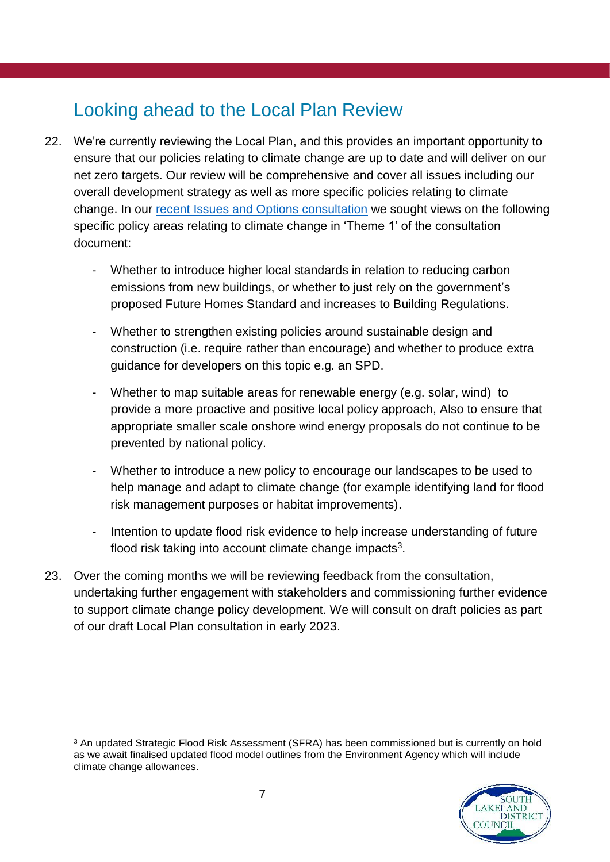#### Looking ahead to the Local Plan Review

- 22. We're currently reviewing the Local Plan, and this provides an important opportunity to ensure that our policies relating to climate change are up to date and will deliver on our net zero targets. Our review will be comprehensive and cover all issues including our overall development strategy as well as more specific policies relating to climate change. In our [recent Issues and Options consultation](https://www.southlakeland.gov.uk/planning-and-building/south-lakeland-local-plan/local-plan-review/2021-issues-and-options-and-second-call-for-sites/) we sought views on the following specific policy areas relating to climate change in 'Theme 1' of the consultation document:
	- Whether to introduce higher local standards in relation to reducing carbon emissions from new buildings, or whether to just rely on the government's proposed Future Homes Standard and increases to Building Regulations.
	- Whether to strengthen existing policies around sustainable design and construction (i.e. require rather than encourage) and whether to produce extra guidance for developers on this topic e.g. an SPD.
	- Whether to map suitable areas for renewable energy (e.g. solar, wind) to provide a more proactive and positive local policy approach, Also to ensure that appropriate smaller scale onshore wind energy proposals do not continue to be prevented by national policy.
	- Whether to introduce a new policy to encourage our landscapes to be used to help manage and adapt to climate change (for example identifying land for flood risk management purposes or habitat improvements).
	- Intention to update flood risk evidence to help increase understanding of future flood risk taking into account climate change impacts<sup>3</sup>.
- 23. Over the coming months we will be reviewing feedback from the consultation, undertaking further engagement with stakeholders and commissioning further evidence to support climate change policy development. We will consult on draft policies as part of our draft Local Plan consultation in early 2023.

<sup>&</sup>lt;sup>3</sup> An updated Strategic Flood Risk Assessment (SFRA) has been commissioned but is currently on hold as we await finalised updated flood model outlines from the Environment Agency which will include climate change allowances.



1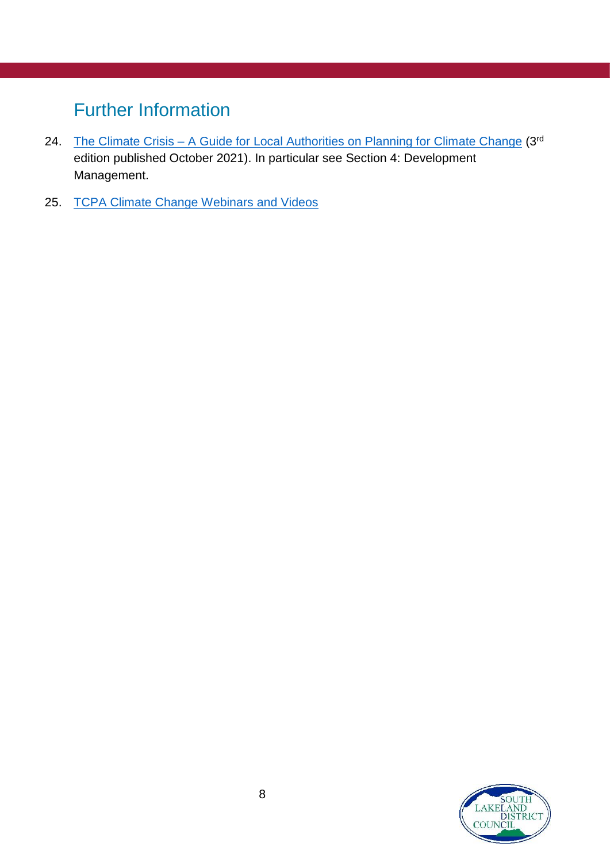## Further Information

- 24. The Climate Crisis [A Guide for Local Authorities on Planning for Climate Change](https://tcpa.org.uk/resources/the-climate-crisis-a-guide-for-local-authorities-on-planning-for-climate-change/) (3rd edition published October 2021). In particular see Section 4: Development Management.
- 25. [TCPA Climate Change Webinars and Videos](https://tcpa.org.uk/collection/climate-webinars/)